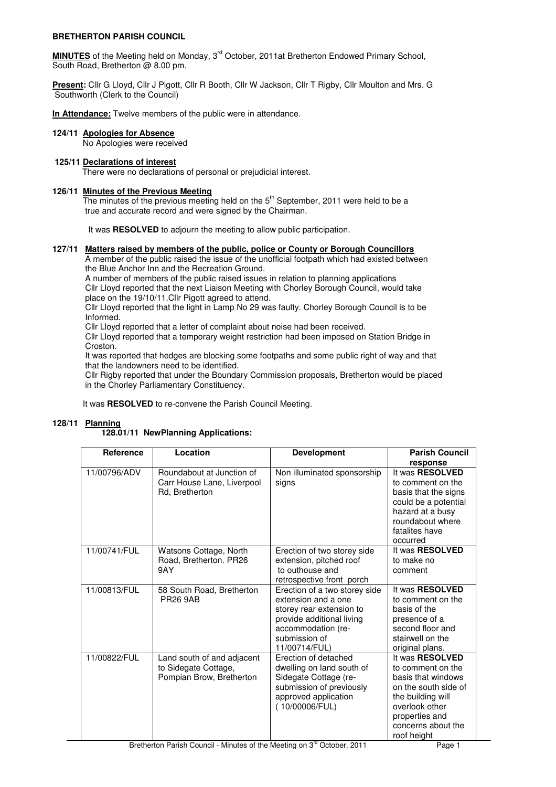# **BRETHERTON PARISH COUNCIL**

**MINUTES** of the Meeting held on Monday, 3rd October, 2011at Bretherton Endowed Primary School, South Road, Bretherton @ 8.00 pm.

**Present:** Cllr G Lloyd, Cllr J Pigott, Cllr R Booth, Cllr W Jackson, Cllr T Rigby, Cllr Moulton and Mrs. G Southworth (Clerk to the Council)

**In Attendance:** Twelve members of the public were in attendance.

# **124/11 Apologies for Absence**

No Apologies were received

# **125/11 Declarations of interest**

There were no declarations of personal or prejudicial interest.

### **126/11 Minutes of the Previous Meeting**

**The minutes of the previous meeting held on the 5<sup>th</sup> September, 2011 were held to be a** true and accurate record and were signed by the Chairman.

It was **RESOLVED** to adjourn the meeting to allow public participation.

#### **127/11 Matters raised by members of the public, police or County or Borough Councillors**

 A member of the public raised the issue of the unofficial footpath which had existed between the Blue Anchor Inn and the Recreation Ground.

A number of members of the public raised issues in relation to planning applications

 Cllr Lloyd reported that the next Liaison Meeting with Chorley Borough Council, would take place on the 19/10/11.Cllr Pigott agreed to attend.

 Cllr Lloyd reported that the light in Lamp No 29 was faulty. Chorley Borough Council is to be Informed.

Cllr Lloyd reported that a letter of complaint about noise had been received.

 Cllr Lloyd reported that a temporary weight restriction had been imposed on Station Bridge in Croston.

 It was reported that hedges are blocking some footpaths and some public right of way and that that the landowners need to be identified.

 Cllr Rigby reported that under the Boundary Commission proposals, Bretherton would be placed in the Chorley Parliamentary Constituency.

It was **RESOLVED** to re-convene the Parish Council Meeting.

# **128/11 Planning**

#### **128.01/11 NewPlanning Applications:**

| <b>Reference</b> | Location                                                                       | <b>Development</b>                                                                                                                                                    | <b>Parish Council</b><br>response                                                                                                                                                |
|------------------|--------------------------------------------------------------------------------|-----------------------------------------------------------------------------------------------------------------------------------------------------------------------|----------------------------------------------------------------------------------------------------------------------------------------------------------------------------------|
| 11/00796/ADV     | Roundabout at Junction of<br>Carr House Lane, Liverpool<br>Rd, Bretherton      | Non illuminated sponsorship<br>signs                                                                                                                                  | It was RESOLVED<br>to comment on the<br>basis that the signs<br>could be a potential<br>hazard at a busy<br>roundabout where<br>fatalites have<br>occurred                       |
| 11/00741/FUL     | Watsons Cottage, North<br>Road, Bretherton. PR26<br>9AY                        | Erection of two storey side<br>extension, pitched roof<br>to outhouse and<br>retrospective front porch                                                                | It was RESOLVED<br>to make no<br>comment                                                                                                                                         |
| 11/00813/FUL     | 58 South Road, Bretherton<br><b>PR26 9AB</b>                                   | Erection of a two storey side<br>extension and a one<br>storey rear extension to<br>provide additional living<br>accommodation (re-<br>submission of<br>11/00714/FUL) | It was RESOLVED<br>to comment on the<br>basis of the<br>presence of a<br>second floor and<br>stairwell on the<br>original plans.                                                 |
| 11/00822/FUL     | Land south of and adjacent<br>to Sidegate Cottage,<br>Pompian Brow, Bretherton | Erection of detached<br>dwelling on land south of<br>Sidegate Cottage (re-<br>submission of previously<br>approved application<br>(10/00006/FUL)                      | It was RESOLVED<br>to comment on the<br>basis that windows<br>on the south side of<br>the building will<br>overlook other<br>properties and<br>concerns about the<br>roof height |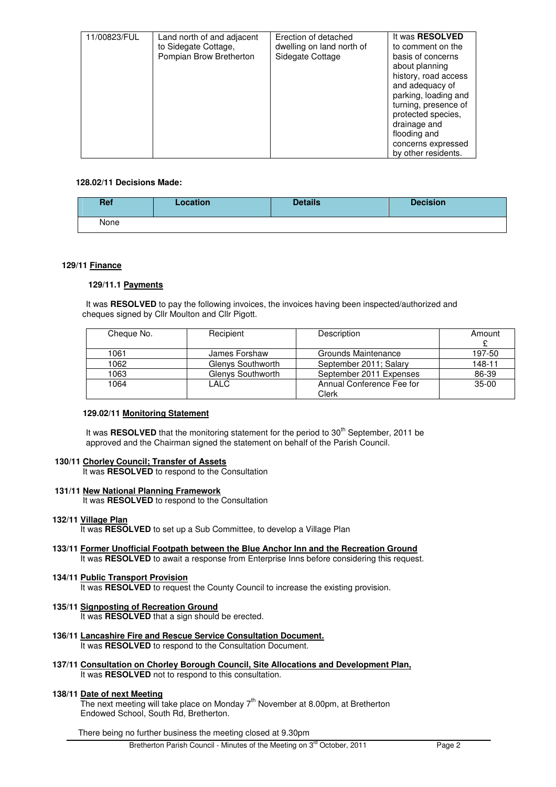| 11/00823/FUL | Land north of and adjacent<br>to Sidegate Cottage,<br>Pompian Brow Bretherton | Erection of detached<br>dwelling on land north of<br>Sidegate Cottage | It was <b>RESOLVED</b><br>to comment on the<br>basis of concerns<br>about planning<br>history, road access<br>and adequacy of<br>parking, loading and<br>turning, presence of<br>protected species,<br>drainage and<br>flooding and<br>concerns expressed<br>by other residents. |
|--------------|-------------------------------------------------------------------------------|-----------------------------------------------------------------------|----------------------------------------------------------------------------------------------------------------------------------------------------------------------------------------------------------------------------------------------------------------------------------|

# **128.02/11 Decisions Made:**

| <b>Ref</b> | Location | <b>Details</b> | <b>Decision</b> |
|------------|----------|----------------|-----------------|
| None       |          |                |                 |

# **129/11 Finance**

# **129/11.1 Payments**

It was **RESOLVED** to pay the following invoices, the invoices having been inspected/authorized and cheques signed by Cllr Moulton and Cllr Pigott.

| Cheque No. | Recipient         | Description               | Amount  |
|------------|-------------------|---------------------------|---------|
| 1061       | James Forshaw     | Grounds Maintenance       | 197-50  |
| 1062       | Glenys Southworth | September 2011; Salary    | 148-11  |
| 1063       | Glenvs Southworth | September 2011 Expenses   | 86-39   |
| 1064       | LALC              | Annual Conference Fee for | $35-00$ |
|            |                   | Clerk                     |         |

# **129.02/11 Monitoring Statement**

It was **RESOLVED** that the monitoring statement for the period to 30<sup>th</sup> September, 2011 be approved and the Chairman signed the statement on behalf of the Parish Council.

# **130/11 Chorley Council; Transfer of Assets**

It was **RESOLVED** to respond to the Consultation

# **131/11 New National Planning Framework**

It was **RESOLVED** to respond to the Consultation

### **132/11 Village Plan**

It was **RESOLVED** to set up a Sub Committee, to develop a Village Plan

#### **133/11 Former Unofficial Footpath between the Blue Anchor Inn and the Recreation Ground** It was **RESOLVED** to await a response from Enterprise Inns before considering this request.

#### **134/11 Public Transport Provision**

It was RESOLVED to request the County Council to increase the existing provision.

### **135/11 Signposting of Recreation Ground**

It was **RESOLVED** that a sign should be erected.

- **136/11 Lancashire Fire and Rescue Service Consultation Document.** It was **RESOLVED** to respond to the Consultation Document.
- **137/11 Consultation on Chorley Borough Council, Site Allocations and Development Plan,** It was **RESOLVED** not to respond to this consultation.

### **138/11 Date of next Meeting**

The next meeting will take place on Monday 7th November at 8.00pm, at Bretherton Endowed School, South Rd, Bretherton.

There being no further business the meeting closed at 9.30pm